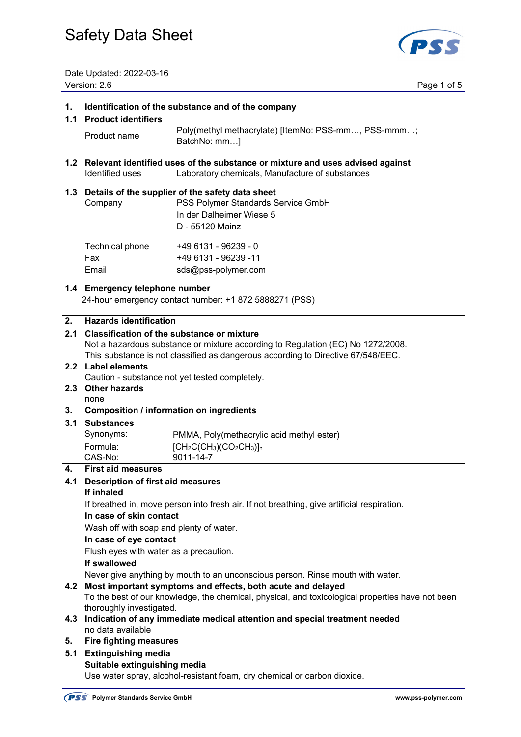

Date Updated: 2022-03-16<br>Version: 2.6

Page 1 of 5

| 1.<br>1.1        | Identification of the substance and of the company<br><b>Product identifiers</b>                                                                                                                                                     |                                                                                                                                       |  |
|------------------|--------------------------------------------------------------------------------------------------------------------------------------------------------------------------------------------------------------------------------------|---------------------------------------------------------------------------------------------------------------------------------------|--|
|                  | Product name                                                                                                                                                                                                                         | Poly(methyl methacrylate) [ItemNo: PSS-mm, PSS-mmm;<br>BatchNo: mm]                                                                   |  |
| 1.2 <sub>1</sub> | Identified uses                                                                                                                                                                                                                      | Relevant identified uses of the substance or mixture and uses advised against<br>Laboratory chemicals, Manufacture of substances      |  |
| 1.3              | Company                                                                                                                                                                                                                              | Details of the supplier of the safety data sheet<br>PSS Polymer Standards Service GmbH<br>In der Dalheimer Wiese 5<br>D - 55120 Mainz |  |
|                  | Technical phone<br>Fax<br>Email                                                                                                                                                                                                      | +49 6131 - 96239 - 0<br>+49 6131 - 96239 -11<br>sds@pss-polymer.com                                                                   |  |
|                  | 1.4 Emergency telephone number                                                                                                                                                                                                       | 24-hour emergency contact number: +1 872 5888271 (PSS)                                                                                |  |
| 2.               | <b>Hazards identification</b>                                                                                                                                                                                                        |                                                                                                                                       |  |
| 2.1              |                                                                                                                                                                                                                                      | <b>Classification of the substance or mixture</b>                                                                                     |  |
|                  |                                                                                                                                                                                                                                      | Not a hazardous substance or mixture according to Regulation (EC) No 1272/2008.                                                       |  |
|                  |                                                                                                                                                                                                                                      | This substance is not classified as dangerous according to Directive 67/548/EEC.                                                      |  |
|                  | 2.2 Label elements                                                                                                                                                                                                                   |                                                                                                                                       |  |
|                  |                                                                                                                                                                                                                                      | Caution - substance not yet tested completely.                                                                                        |  |
| 2.3              | <b>Other hazards</b>                                                                                                                                                                                                                 |                                                                                                                                       |  |
|                  | none                                                                                                                                                                                                                                 |                                                                                                                                       |  |
| 3.               |                                                                                                                                                                                                                                      | <b>Composition / information on ingredients</b>                                                                                       |  |
| 3.1              | <b>Substances</b>                                                                                                                                                                                                                    |                                                                                                                                       |  |
|                  | Synonyms:                                                                                                                                                                                                                            | PMMA, Poly(methacrylic acid methyl ester)                                                                                             |  |
|                  | Formula:                                                                                                                                                                                                                             | $[CH2C(CH3)(CO2CH3)]n$                                                                                                                |  |
|                  | CAS-No:                                                                                                                                                                                                                              | 9011-14-7                                                                                                                             |  |
| 4.               | <b>First aid measures</b>                                                                                                                                                                                                            |                                                                                                                                       |  |
| 4.1              | <b>Description of first aid measures</b>                                                                                                                                                                                             |                                                                                                                                       |  |
|                  | If inhaled                                                                                                                                                                                                                           |                                                                                                                                       |  |
|                  | If breathed in, move person into fresh air. If not breathing, give artificial respiration.<br>In case of skin contact<br>Wash off with soap and plenty of water.<br>In case of eye contact<br>Flush eyes with water as a precaution. |                                                                                                                                       |  |
|                  |                                                                                                                                                                                                                                      |                                                                                                                                       |  |
|                  |                                                                                                                                                                                                                                      |                                                                                                                                       |  |
|                  |                                                                                                                                                                                                                                      |                                                                                                                                       |  |
|                  |                                                                                                                                                                                                                                      |                                                                                                                                       |  |
|                  | If swallowed                                                                                                                                                                                                                         |                                                                                                                                       |  |
|                  |                                                                                                                                                                                                                                      | Never give anything by mouth to an unconscious person. Rinse mouth with water.                                                        |  |
| 4.2              |                                                                                                                                                                                                                                      | Most important symptoms and effects, both acute and delayed                                                                           |  |
|                  | thoroughly investigated.                                                                                                                                                                                                             | To the best of our knowledge, the chemical, physical, and toxicological properties have not been                                      |  |
| 4.3              |                                                                                                                                                                                                                                      | Indication of any immediate medical attention and special treatment needed                                                            |  |
|                  | no data available                                                                                                                                                                                                                    |                                                                                                                                       |  |
| 5.               | <b>Fire fighting measures</b>                                                                                                                                                                                                        |                                                                                                                                       |  |
| 5.1              | <b>Extinguishing media</b>                                                                                                                                                                                                           |                                                                                                                                       |  |
|                  | Suitable extinguishing media                                                                                                                                                                                                         |                                                                                                                                       |  |
|                  |                                                                                                                                                                                                                                      | Use water spray, alcohol-resistant foam, dry chemical or carbon dioxide.                                                              |  |
|                  |                                                                                                                                                                                                                                      |                                                                                                                                       |  |

 $\overline{a}$ 

 $\overline{a}$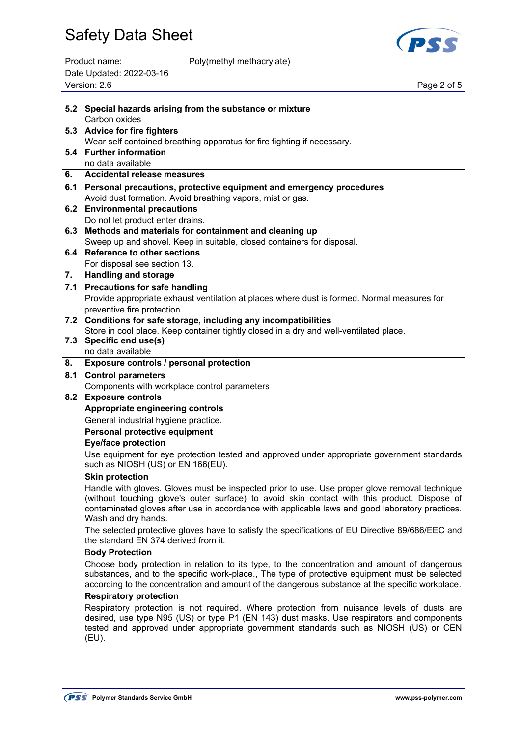

Product name: Poly(methyl methacrylate) Date Updated: 2022-03-16 Page 2 of 5<br>Version: 2.6 Page 2 of 5

|     | 5.2 Special hazards arising from the substance or mixture<br>Carbon oxides                                                                                                                                                                                                                                              |
|-----|-------------------------------------------------------------------------------------------------------------------------------------------------------------------------------------------------------------------------------------------------------------------------------------------------------------------------|
|     | 5.3 Advice for fire fighters                                                                                                                                                                                                                                                                                            |
|     | Wear self contained breathing apparatus for fire fighting if necessary.<br>5.4 Further information<br>no data available                                                                                                                                                                                                 |
| 6.  | <b>Accidental release measures</b>                                                                                                                                                                                                                                                                                      |
|     | 6.1 Personal precautions, protective equipment and emergency procedures                                                                                                                                                                                                                                                 |
|     | Avoid dust formation. Avoid breathing vapors, mist or gas.                                                                                                                                                                                                                                                              |
|     | 6.2 Environmental precautions                                                                                                                                                                                                                                                                                           |
|     | Do not let product enter drains.                                                                                                                                                                                                                                                                                        |
|     | 6.3 Methods and materials for containment and cleaning up                                                                                                                                                                                                                                                               |
|     | Sweep up and shovel. Keep in suitable, closed containers for disposal.                                                                                                                                                                                                                                                  |
|     | 6.4 Reference to other sections                                                                                                                                                                                                                                                                                         |
|     | For disposal see section 13.                                                                                                                                                                                                                                                                                            |
| 7.  | <b>Handling and storage</b>                                                                                                                                                                                                                                                                                             |
|     | 7.1 Precautions for safe handling                                                                                                                                                                                                                                                                                       |
|     | Provide appropriate exhaust ventilation at places where dust is formed. Normal measures for                                                                                                                                                                                                                             |
|     | preventive fire protection.                                                                                                                                                                                                                                                                                             |
|     | 7.2 Conditions for safe storage, including any incompatibilities                                                                                                                                                                                                                                                        |
|     | Store in cool place. Keep container tightly closed in a dry and well-ventilated place.<br>7.3 Specific end use(s)                                                                                                                                                                                                       |
|     | no data available                                                                                                                                                                                                                                                                                                       |
| 8.  | Exposure controls / personal protection                                                                                                                                                                                                                                                                                 |
| 8.1 | <b>Control parameters</b>                                                                                                                                                                                                                                                                                               |
|     | Components with workplace control parameters                                                                                                                                                                                                                                                                            |
|     | 8.2 Exposure controls                                                                                                                                                                                                                                                                                                   |
|     | Appropriate engineering controls                                                                                                                                                                                                                                                                                        |
|     | General industrial hygiene practice.                                                                                                                                                                                                                                                                                    |
|     | Personal protective equipment                                                                                                                                                                                                                                                                                           |
|     | <b>Eye/face protection</b>                                                                                                                                                                                                                                                                                              |
|     | Use equipment for eye protection tested and approved under appropriate government standards<br>such as NIOSH (US) or EN 166(EU).                                                                                                                                                                                        |
|     | <b>Skin protection</b>                                                                                                                                                                                                                                                                                                  |
|     | Handle with gloves. Gloves must be inspected prior to use. Use proper glove removal technique<br>(without touching glove's outer surface) to avoid skin contact with this product. Dispose of<br>contaminated gloves after use in accordance with applicable laws and good laboratory practices.<br>Wash and dry hands. |
|     | The selected protective gloves have to satisfy the specifications of EU Directive 89/686/EEC and<br>the standard EN 374 derived from it.                                                                                                                                                                                |
|     | <b>Body Protection</b>                                                                                                                                                                                                                                                                                                  |
|     | Choose body protection in relation to its type, to the concentration and amount of dangerous<br>substances, and to the specific work-place., The type of protective equipment must be selected<br>according to the concentration and amount of the dangerous substance at the specific workplace.                       |
|     | <b>Respiratory protection</b>                                                                                                                                                                                                                                                                                           |
|     | Respiratory protection is not required. Where protection from nuisance levels of dusts are<br>desired, use type N95 (US) or type P1 (EN 143) dust masks. Use respirators and components<br>tested and approved under appropriate government standards such as NIOSH (US) or CEN<br>(EU).                                |
|     |                                                                                                                                                                                                                                                                                                                         |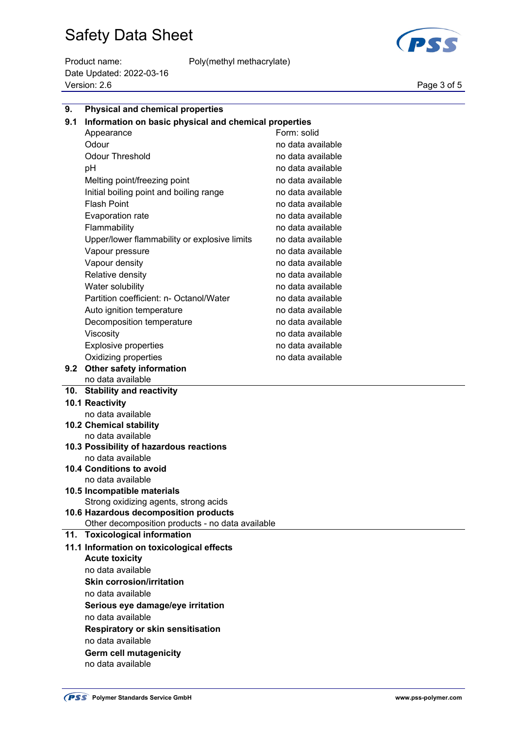Product name: Poly(methyl methacrylate) Date Updated: 2022-03-16 Version: 2.6 Page 3 of 5



| 9.  | <b>Physical and chemical properties</b>                                        |                   |  |  |
|-----|--------------------------------------------------------------------------------|-------------------|--|--|
| 9.1 | Information on basic physical and chemical properties                          |                   |  |  |
|     | Appearance                                                                     | Form: solid       |  |  |
|     | Odour                                                                          | no data available |  |  |
|     | <b>Odour Threshold</b>                                                         | no data available |  |  |
|     | рH                                                                             | no data available |  |  |
|     | Melting point/freezing point                                                   | no data available |  |  |
|     | Initial boiling point and boiling range                                        | no data available |  |  |
|     | <b>Flash Point</b>                                                             | no data available |  |  |
|     | Evaporation rate                                                               | no data available |  |  |
|     | Flammability                                                                   | no data available |  |  |
|     | Upper/lower flammability or explosive limits                                   | no data available |  |  |
|     | Vapour pressure                                                                | no data available |  |  |
|     | Vapour density                                                                 | no data available |  |  |
|     | Relative density                                                               | no data available |  |  |
|     | Water solubility                                                               | no data available |  |  |
|     | Partition coefficient: n- Octanol/Water                                        | no data available |  |  |
|     | Auto ignition temperature                                                      | no data available |  |  |
|     | Decomposition temperature                                                      | no data available |  |  |
|     | Viscosity                                                                      | no data available |  |  |
|     | <b>Explosive properties</b>                                                    | no data available |  |  |
|     | Oxidizing properties                                                           | no data available |  |  |
|     | 9.2 Other safety information                                                   |                   |  |  |
|     | no data available                                                              |                   |  |  |
|     | 10. Stability and reactivity                                                   |                   |  |  |
|     | 10.1 Reactivity                                                                |                   |  |  |
|     | no data available                                                              |                   |  |  |
|     | 10.2 Chemical stability                                                        |                   |  |  |
|     | no data available                                                              |                   |  |  |
|     | 10.3 Possibility of hazardous reactions                                        |                   |  |  |
|     | no data available                                                              |                   |  |  |
|     | 10.4 Conditions to avoid                                                       |                   |  |  |
|     | no data available                                                              |                   |  |  |
|     | 10.5 Incompatible materials                                                    |                   |  |  |
|     | Strong oxidizing agents, strong acids<br>10.6 Hazardous decomposition products |                   |  |  |
|     | Other decomposition products - no data available                               |                   |  |  |
| 11. | <b>Toxicological information</b>                                               |                   |  |  |
|     | 11.1 Information on toxicological effects                                      |                   |  |  |
|     | <b>Acute toxicity</b>                                                          |                   |  |  |
|     | no data available                                                              |                   |  |  |
|     | <b>Skin corrosion/irritation</b>                                               |                   |  |  |
|     | no data available                                                              |                   |  |  |
|     | Serious eye damage/eye irritation                                              |                   |  |  |
|     | no data available                                                              |                   |  |  |
|     | <b>Respiratory or skin sensitisation</b>                                       |                   |  |  |
|     | no data available                                                              |                   |  |  |
|     | <b>Germ cell mutagenicity</b>                                                  |                   |  |  |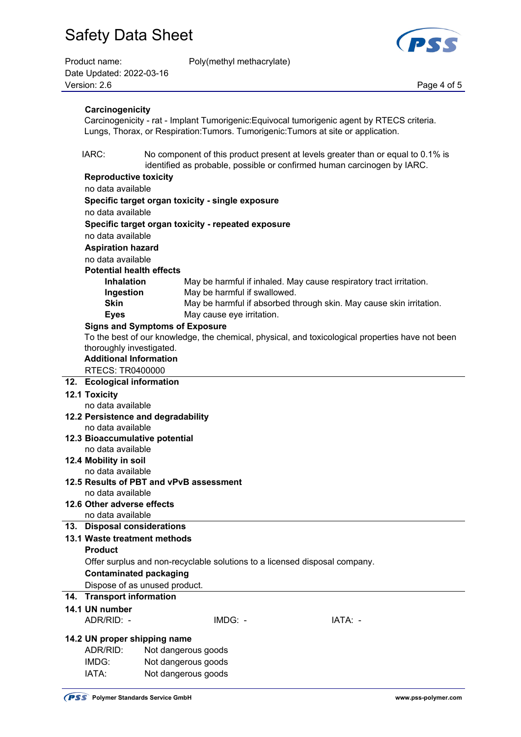| Product name:            | Poly(methyl methacrylate) |             |
|--------------------------|---------------------------|-------------|
| Date Updated: 2022-03-16 |                           |             |
| Version: 2.6             |                           | Page 4 of 5 |

Poly(methyl methacrylate)



|     | Carcinogenicity                                                                                                                                                     |  |                                                                                    |  |                                                                                                  |
|-----|---------------------------------------------------------------------------------------------------------------------------------------------------------------------|--|------------------------------------------------------------------------------------|--|--------------------------------------------------------------------------------------------------|
|     | Carcinogenicity - rat - Implant Tumorigenic: Equivocal tumorigenic agent by RTECS criteria.                                                                         |  |                                                                                    |  |                                                                                                  |
|     |                                                                                                                                                                     |  | Lungs, Thorax, or Respiration: Tumors. Tumorigenic: Tumors at site or application. |  |                                                                                                  |
|     | IARC:<br>No component of this product present at levels greater than or equal to 0.1% is<br>identified as probable, possible or confirmed human carcinogen by IARC. |  |                                                                                    |  |                                                                                                  |
|     | <b>Reproductive toxicity</b>                                                                                                                                        |  |                                                                                    |  |                                                                                                  |
|     | no data available                                                                                                                                                   |  |                                                                                    |  |                                                                                                  |
|     |                                                                                                                                                                     |  | Specific target organ toxicity - single exposure                                   |  |                                                                                                  |
|     | no data available                                                                                                                                                   |  |                                                                                    |  |                                                                                                  |
|     | no data available                                                                                                                                                   |  | Specific target organ toxicity - repeated exposure                                 |  |                                                                                                  |
|     | <b>Aspiration hazard</b>                                                                                                                                            |  |                                                                                    |  |                                                                                                  |
|     | no data available                                                                                                                                                   |  |                                                                                    |  |                                                                                                  |
|     | <b>Potential health effects</b>                                                                                                                                     |  |                                                                                    |  |                                                                                                  |
|     | <b>Inhalation</b>                                                                                                                                                   |  |                                                                                    |  | May be harmful if inhaled. May cause respiratory tract irritation.                               |
|     | Ingestion                                                                                                                                                           |  | May be harmful if swallowed.                                                       |  |                                                                                                  |
|     | <b>Skin</b>                                                                                                                                                         |  |                                                                                    |  | May be harmful if absorbed through skin. May cause skin irritation.                              |
|     | <b>Eyes</b>                                                                                                                                                         |  | May cause eye irritation.                                                          |  |                                                                                                  |
|     | <b>Signs and Symptoms of Exposure</b>                                                                                                                               |  |                                                                                    |  | To the best of our knowledge, the chemical, physical, and toxicological properties have not been |
|     | thoroughly investigated.                                                                                                                                            |  |                                                                                    |  |                                                                                                  |
|     | <b>Additional Information</b>                                                                                                                                       |  |                                                                                    |  |                                                                                                  |
|     | <b>RTECS: TR0400000</b>                                                                                                                                             |  |                                                                                    |  |                                                                                                  |
|     | 12. Ecological information                                                                                                                                          |  |                                                                                    |  |                                                                                                  |
|     | 12.1 Toxicity                                                                                                                                                       |  |                                                                                    |  |                                                                                                  |
|     | no data available                                                                                                                                                   |  |                                                                                    |  |                                                                                                  |
|     | 12.2 Persistence and degradability                                                                                                                                  |  |                                                                                    |  |                                                                                                  |
|     | no data available                                                                                                                                                   |  |                                                                                    |  |                                                                                                  |
|     | 12.3 Bioaccumulative potential                                                                                                                                      |  |                                                                                    |  |                                                                                                  |
|     | no data available<br>12.4 Mobility in soil                                                                                                                          |  |                                                                                    |  |                                                                                                  |
|     | no data available                                                                                                                                                   |  |                                                                                    |  |                                                                                                  |
|     |                                                                                                                                                                     |  | 12.5 Results of PBT and vPvB assessment                                            |  |                                                                                                  |
|     | no data available                                                                                                                                                   |  |                                                                                    |  |                                                                                                  |
|     | 12.6 Other adverse effects                                                                                                                                          |  |                                                                                    |  |                                                                                                  |
|     | no data available                                                                                                                                                   |  |                                                                                    |  |                                                                                                  |
|     | 13. Disposal considerations                                                                                                                                         |  |                                                                                    |  |                                                                                                  |
|     | 13.1 Waste treatment methods                                                                                                                                        |  |                                                                                    |  |                                                                                                  |
|     | <b>Product</b>                                                                                                                                                      |  |                                                                                    |  |                                                                                                  |
|     |                                                                                                                                                                     |  | Offer surplus and non-recyclable solutions to a licensed disposal company.         |  |                                                                                                  |
|     | <b>Contaminated packaging</b><br>Dispose of as unused product.                                                                                                      |  |                                                                                    |  |                                                                                                  |
| 14. | <b>Transport information</b>                                                                                                                                        |  |                                                                                    |  |                                                                                                  |
|     | 14.1 UN number                                                                                                                                                      |  |                                                                                    |  |                                                                                                  |
|     | ADR/RID: -                                                                                                                                                          |  | IMDG: -                                                                            |  | IATA: -                                                                                          |
|     |                                                                                                                                                                     |  |                                                                                    |  |                                                                                                  |
|     | 14.2 UN proper shipping name                                                                                                                                        |  |                                                                                    |  |                                                                                                  |
|     | ADR/RID:                                                                                                                                                            |  | Not dangerous goods                                                                |  |                                                                                                  |
|     | IMDG:                                                                                                                                                               |  | Not dangerous goods                                                                |  |                                                                                                  |
|     | IATA:                                                                                                                                                               |  | Not dangerous goods                                                                |  |                                                                                                  |